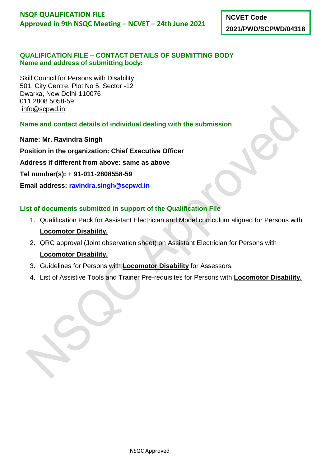**NCVET Code 2021/PWD/SCPWD/04318**

### **QUALIFICATION FILE – CONTACT DETAILS OF SUBMITTING BODY Name and address of submitting body:**

Skill Council for Persons with Disability 501, City Centre, Plot No 5, Sector -12 Dwarka, New Delhi-110076 011 2808 5058-59 [info@scpwd.in](mailto:info@scpwd.in)

**Name and contact details of individual dealing with the submission** 

**Name: Mr. Ravindra Singh** 

**Position in the organization: Chief Executive Officer** 

**Address if different from above: same as above** 

**Tel number(s): + 91-011-2808558-59**

**Email address: [ravindra.singh@scpwd.in](mailto:ravindra.singh@scpwd.in)**

# **List of documents submitted in support of the Qualification File**

- 1. Qualification Pack for Assistant Electrician and Model curriculum aligned for Persons with **Locomotor Disability.**
- 2. QRC approval (Joint observation sheet) on Assistant Electrician for Persons with **Locomotor Disability.**
- 3. Guidelines for Persons with **Locomotor Disability** for Assessors.
- 4. List of Assistive Tools and Trainer Pre-requisites for Persons with **Locomotor Disability.**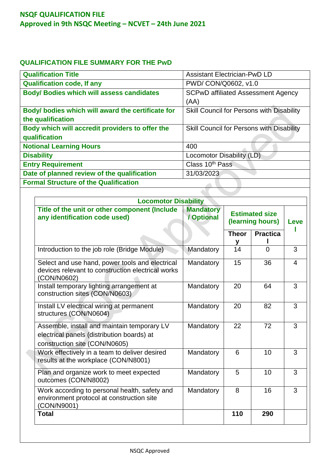## **QUALIFICATION FILE SUMMARY FOR THE PwD**

| <b>Qualification Title</b>                        | <b>Assistant Electrician-PwD LD</b>       |  |  |  |
|---------------------------------------------------|-------------------------------------------|--|--|--|
| <b>Qualification code, If any</b>                 | PWD/ CON/Q0602, v1.0                      |  |  |  |
| <b>Body/ Bodies which will assess candidates</b>  | <b>SCPwD affiliated Assessment Agency</b> |  |  |  |
|                                                   | (AA)                                      |  |  |  |
| Body/ bodies which will award the certificate for | Skill Council for Persons with Disability |  |  |  |
| the qualification                                 |                                           |  |  |  |
| Body which will accredit providers to offer the   | Skill Council for Persons with Disability |  |  |  |
| qualification                                     |                                           |  |  |  |
| <b>Notional Learning Hours</b>                    | 400                                       |  |  |  |
| <b>Disability</b>                                 | Locomotor Disability (LD)                 |  |  |  |
| <b>Entry Requirement</b>                          | Class 10 <sup>th</sup> Pass               |  |  |  |
| Date of planned review of the qualification       | 31/03/2023                                |  |  |  |
| <b>Formal Structure of the Qualification</b>      |                                           |  |  |  |
|                                                   |                                           |  |  |  |

| <b>Locomotor Disability</b>                                                                                                |                                |                                           |                 |                |  |
|----------------------------------------------------------------------------------------------------------------------------|--------------------------------|-------------------------------------------|-----------------|----------------|--|
| Title of the unit or other component (Include<br>any identification code used)                                             | <b>Mandatory</b><br>/ Optional | <b>Estimated size</b><br>(learning hours) |                 | Leve           |  |
|                                                                                                                            |                                | <b>Theor</b><br>у                         | <b>Practica</b> |                |  |
| Introduction to the job role (Bridge Module)                                                                               | Mandatory                      | 14                                        | $\Omega$        | 3              |  |
| Select and use hand, power tools and electrical<br>devices relevant to construction electrical works<br>(CON/N0602)        | Mandatory                      | 15                                        | 36              | $\overline{4}$ |  |
| Install temporary lighting arrangement at<br>construction sites (CON/N0603)                                                | Mandatory                      | 20                                        | 64              | 3              |  |
| Install LV electrical wiring at permanent<br>structures (CON/N0604)                                                        | Mandatory                      | 20                                        | 82              | 3              |  |
| Assemble, install and maintain temporary LV<br>electrical panels (distribution boards) at<br>construction site (CON/N0605) | Mandatory                      | 22                                        | 72              | 3              |  |
| Work effectively in a team to deliver desired<br>results at the workplace (CON/N8001)                                      | Mandatory                      | 6                                         | 10              | 3              |  |
| Plan and organize work to meet expected<br>outcomes (CON/N8002)                                                            | Mandatory                      | 5                                         | 10              | 3              |  |
| Work according to personal health, safety and<br>environment protocol at construction site<br>(CON/N9001)                  | Mandatory                      | 8                                         | 16              | 3              |  |
| <b>Total</b>                                                                                                               |                                | 110                                       | 290             |                |  |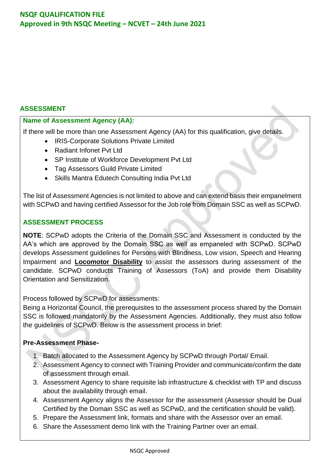### **ASSESSMENT**

### **Name of Assessment Agency (AA):**

If there will be more than one Assessment Agency (AA) for this qualification, give details.

- IRIS-Corporate Solutions Private Limited
- Radiant Infonet Pvt Ltd
- SP Institute of Workforce Development Pvt Ltd
- Tag Assessors Guild Private Limited
- Skills Mantra Edutech Consulting India Pvt Ltd

The list of Assessment Agencies is not limited to above and can extend basis their empanelment with SCPwD and having certified Assessor for the Job role from Domain SSC as well as SCPwD.

### **ASSESSMENT PROCESS**

**NOTE**: SCPwD adopts the Criteria of the Domain SSC and Assessment is conducted by the AA's which are approved by the Domain SSC as well as empaneled with SCPwD. SCPwD develops Assessment guidelines for Persons with Blindness, Low vision, Speech and Hearing Impairment and **Locomotor Disability** to assist the assessors during assessment of the candidate. SCPwD conducts Training of Assessors (ToA) and provide them Disability Orientation and Sensitization.

Process followed by SCPwD for assessments:

Being a Horizontal Council, the prerequisites to the assessment process shared by the Domain SSC is followed mandatorily by the Assessment Agencies. Additionally, they must also follow the guidelines of SCPwD. Below is the assessment process in brief:

### **Pre-Assessment Phase-**

- 1. Batch allocated to the Assessment Agency by SCPwD through Portal/ Email.
- 2. Assessment Agency to connect with Training Provider and communicate/confirm the date of assessment through email.
- 3. Assessment Agency to share requisite lab infrastructure & checklist with TP and discuss about the availability through email.
- 4. Assessment Agency aligns the Assessor for the assessment (Assessor should be Dual Certified by the Domain SSC as well as SCPwD, and the certification should be valid).
- 5. Prepare the Assessment link, formats and share with the Assessor over an email.
- 6. Share the Assessment demo link with the Training Partner over an email.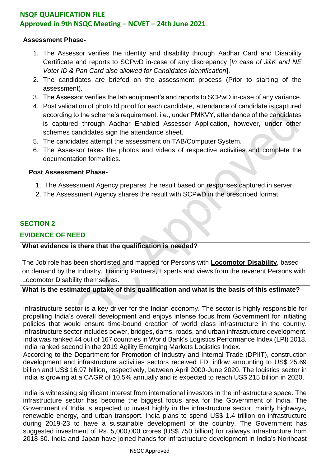### **Assessment Phase-**

- 1. The Assessor verifies the identity and disability through Aadhar Card and Disability Certificate and reports to SCPwD in-case of any discrepancy [*In case of J&K and NE Voter ID & Pan Card also allowed for Candidates Identification*].
- 2. The candidates are briefed on the assessment process (Prior to starting of the assessment).
- 3. The Assessor verifies the lab equipment's and reports to SCPwD in-case of any variance.
- 4. Post validation of photo Id proof for each candidate, attendance of candidate is captured according to the scheme's requirement. i.e., under PMKVY, attendance of the candidates is captured through Aadhar Enabled Assessor Application, however, under other schemes candidates sign the attendance sheet.
- 5. The candidates attempt the assessment on TAB/Computer System.
- 6. The Assessor takes the photos and videos of respective activities and complete the documentation formalities.

#### **Post Assessment Phase-**

- 1. The Assessment Agency prepares the result based on responses captured in server.
- 2. The Assessment Agency shares the result with SCPwD in the prescribed format.

### **SECTION 2**

### **EVIDENCE OF NEED**

#### **What evidence is there that the qualification is needed?**

The Job role has been shortlisted and mapped for Persons with **Locomotor Disability**, based on demand by the Industry, Training Partners, Experts and views from the reverent Persons with Locomotor Disability themselves.

### **What is the estimated uptake of this qualification and what is the basis of this estimate?**

Infrastructure sector is a key driver for the Indian economy. The sector is highly responsible for propelling India's overall development and enjoys intense focus from Government for initiating policies that would ensure time-bound creation of world class infrastructure in the country. Infrastructure sector includes power, bridges, dams, roads, and urban infrastructure development. India was ranked 44 out of 167 countries in World Bank's Logistics Performance Index (LPI) 2018. India ranked second in the 2019 Agility Emerging Markets Logistics Index.

According to the Department for Promotion of Industry and Internal Trade (DPIIT), construction development and infrastructure activities sectors received FDI inflow amounting to US\$ 25.69 billion and US\$ 16.97 billion, respectively, between April 2000-June 2020. The logistics sector in India is growing at a CAGR of 10.5% annually and is expected to reach US\$ 215 billion in 2020.

India is witnessing significant interest from international investors in the infrastructure space. The infrastructure sector has become the biggest focus area for the Government of India. The Government of India is expected to invest highly in the infrastructure sector, mainly highways, renewable energy, and urban transport. India plans to spend US\$ 1.4 trillion on infrastructure during 2019-23 to have a sustainable development of the country. The Government has suggested investment of Rs. 5,000,000 crores (US\$ 750 billion) for railways infrastructure from 2018-30. India and Japan have joined hands for infrastructure development in India's Northeast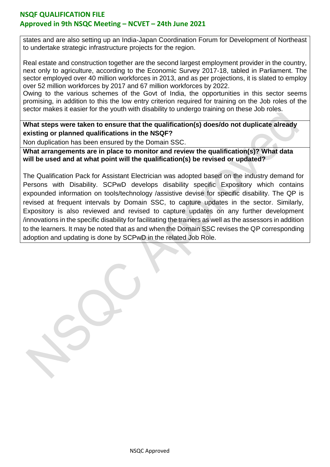states and are also setting up an India-Japan Coordination Forum for Development of Northeast to undertake strategic infrastructure projects for the region.

Real estate and construction together are the second largest employment provider in the country, next only to agriculture, according to the Economic Survey 2017-18, tabled in Parliament. The sector employed over 40 million workforces in 2013, and as per projections, it is slated to employ over 52 million workforces by 2017 and 67 million workforces by 2022.

Owing to the various schemes of the Govt of India, the opportunities in this sector seems promising, in addition to this the low entry criterion required for training on the Job roles of the sector makes it easier for the youth with disability to undergo training on these Job roles.

**What steps were taken to ensure that the qualification(s) does/do not duplicate already existing or planned qualifications in the NSQF?**

Non duplication has been ensured by the Domain SSC.

**What arrangements are in place to monitor and review the qualification(s)? What data will be used and at what point will the qualification(s) be revised or updated?**

The Qualification Pack for Assistant Electrician was adopted based on the industry demand for Persons with Disability. SCPwD develops disability specific Expository which contains expounded information on tools/technology /assistive devise for specific disability. The QP is revised at frequent intervals by Domain SSC, to capture updates in the sector. Similarly, Expository is also reviewed and revised to capture updates on any further development /innovations in the specific disability for facilitating the trainers as well as the assessors in addition to the learners. It may be noted that as and when the Domain SSC revises the QP corresponding adoption and updating is done by SCPwD in the related Job Role.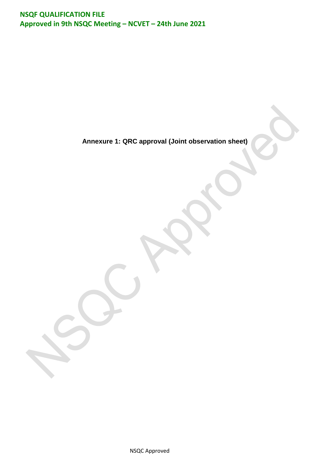**Annexure 1: QRC approval (Joint observation sheet)**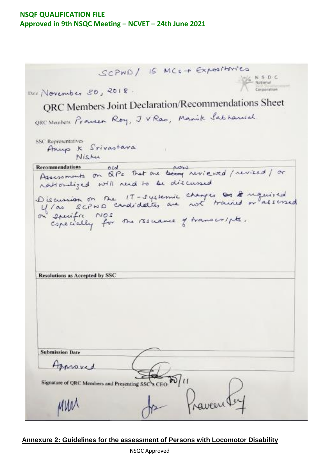SCPWD/ IS MCS + Expositories **NSDC** Notional Dire November 30, 2018. Connection QRC Members Joint Declaration/Recommendations Sheet ORC Members Promeer Roy, J V Rao, Manik Sabharwal SSC Representatives Anup K Srivastava Nishu Recommendations old old That are being reviewed / revised / or Recommendations old rationliged will reed to be discussed Discussion on the 17-systemic changes as & required on specially for the resultive of transcripts. Resolutions as Accepted by SSC **Submission Date** Approved. Signature of QRC Members and Presenting SSCS CEO Paventey MW

#### **Annexure 2: Guidelines for the assessment of Persons with Locomotor Disability**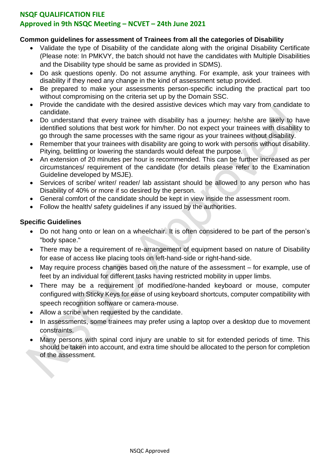### **NSQF QUALIFICATION FILE**

### **Approved in 9th NSQC Meeting – NCVET – 24th June 2021**

#### **Common guidelines for assessment of Trainees from all the categories of Disability**

- Validate the type of Disability of the candidate along with the original Disability Certificate (Please note: In PMKVY, the batch should not have the candidates with Multiple Disabilities and the Disability type should be same as provided in SDMS).
- Do ask questions openly. Do not assume anything. For example, ask your trainees with disability if they need any change in the kind of assessment setup provided.
- Be prepared to make your assessments person-specific including the practical part too without compromising on the criteria set up by the Domain SSC.
- Provide the candidate with the desired assistive devices which may vary from candidate to candidate.
- Do understand that every trainee with disability has a journey: he/she are likely to have identified solutions that best work for him/her. Do not expect your trainees with disability to go through the same processes with the same rigour as your trainees without disability.
- Remember that your trainees with disability are going to work with persons without disability. Pitying, belittling or lowering the standards would defeat the purpose.
- An extension of 20 minutes per hour is recommended. This can be further increased as per circumstances/ requirement of the candidate (for details please refer to the Examination Guideline developed by MSJE).
- Services of scribe/ writer/ reader/ lab assistant should be allowed to any person who has Disability of 40% or more if so desired by the person.
- General comfort of the candidate should be kept in view inside the assessment room.
- Follow the health/ safety guidelines if any issued by the authorities.

### **Specific Guidelines**

- Do not hang onto or lean on a wheelchair. It is often considered to be part of the person's "body space."
- There may be a requirement of re-arrangement of equipment based on nature of Disability for ease of access like placing tools on left-hand-side or right-hand-side.
- May require process changes based on the nature of the assessment for example, use of feet by an individual for different tasks having restricted mobility in upper limbs.
- There may be a requirement of modified/one-handed keyboard or mouse, computer configured with Sticky Keys for ease of using keyboard shortcuts, computer compatibility with speech recognition software or camera-mouse.
- Allow a scribe when requested by the candidate.
- In assessments, some trainees may prefer using a laptop over a desktop due to movement constraints.
- Many persons with spinal cord injury are unable to sit for extended periods of time. This should be taken into account, and extra time should be allocated to the person for completion of the assessment.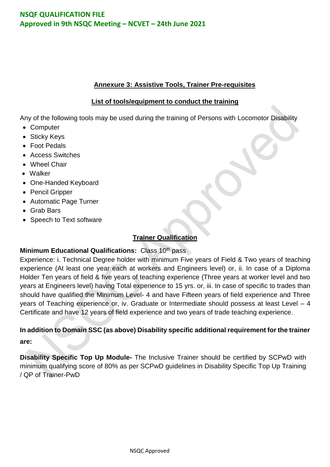### **Annexure 3: Assistive Tools, Trainer Pre-requisites**

### **List of tools/equipment to conduct the training**

Any of the following tools may be used during the training of Persons with Locomotor Disability

- Computer
- Sticky Keys
- Foot Pedals
- Access Switches
- Wheel Chair
- Walker
- One-Handed Keyboard
- Pencil Gripper
- Automatic Page Turner
- Grab Bars
- Speech to Text software

## **Trainer Qualification**

### **Minimum Educational Qualifications: Class 10th pass**

Experience: i. Technical Degree holder with minimum Five years of Field & Two years of teaching experience (At least one year each at workers and Engineers level) or, ii. In case of a Diploma Holder Ten years of field & five years of teaching experience (Three years at worker level and two years at Engineers level) having Total experience to 15 yrs. or, iii. In case of specific to trades than should have qualified the Minimum Level- 4 and have Fifteen years of field experience and Three years of Teaching experience or, iv. Graduate or Intermediate should possess at least Level – 4 Certificate and have 12 years of field experience and two years of trade teaching experience.

## **In addition to Domain SSC (as above) Disability specific additional requirement for the trainer are:**

**Disability Specific Top Up Module-** The Inclusive Trainer should be certified by SCPwD with minimum qualifying score of 80% as per SCPwD guidelines in Disability Specific Top Up Training / QP of Trainer-PwD